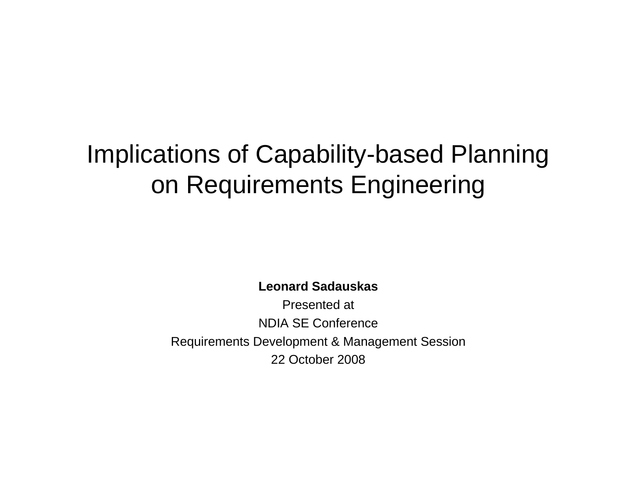#### Implications of Capability-based Planning on Requirements Engineering

**Leonard Sadauskas**

Presented atNDIA SE Conference Requirements Development & Management Session 22 October 2008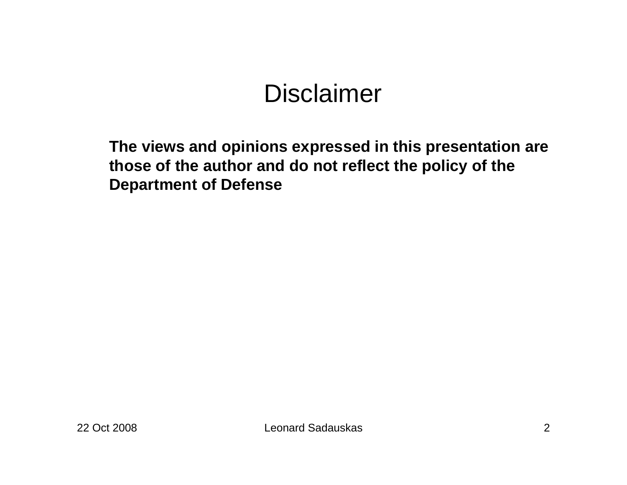#### Disclaimer

**The views and opinions expressed in this presentation are those of the author and do not reflect the policy of the Department of Defense**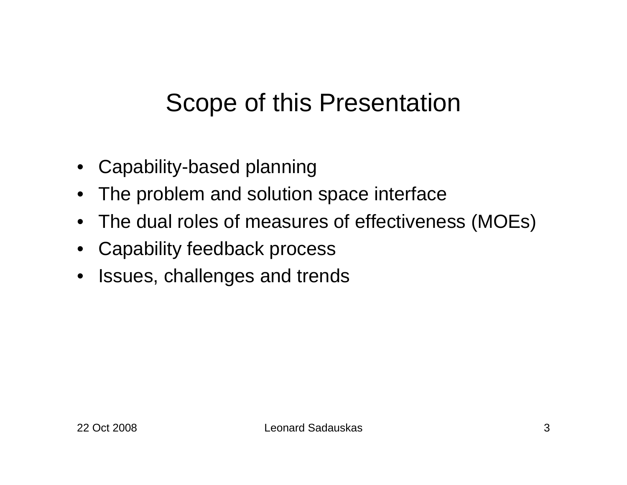#### Scope of this Presentation

- $\bullet$ Capability-based planning
- $\bullet$ The problem and solution space interface
- $\bullet$ The dual roles of measures of effectiveness (MOEs)
- $\bullet$ Capability feedback process
- $\bullet$ Issues, challenges and trends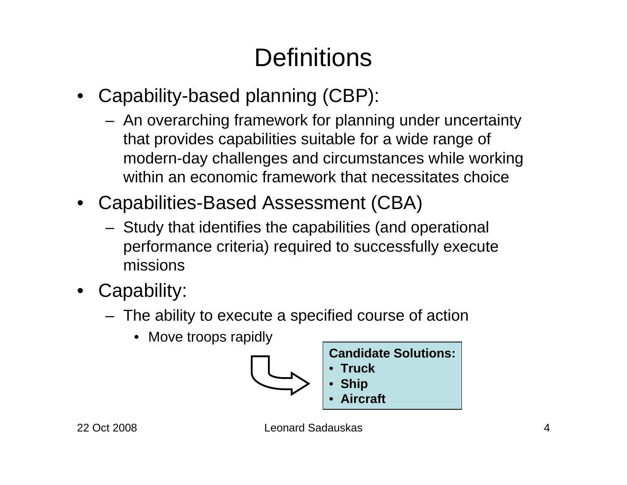## **Definitions**

- $\bullet$  Capability-based planning (CBP):
	- An overarching framework for planning under uncertainty that provides capabilities suitable for a wide range of modern-day challenges and circumstances while working within an economic framework that necessitates choice
- Capabilities-Based Assessment (CBA)
	- Study that identifies the capabilities (and operational performance criteria) required to successfully execute missions
- Capability:
	- The ability to execute a specified course of action
		- Move troops rapidly

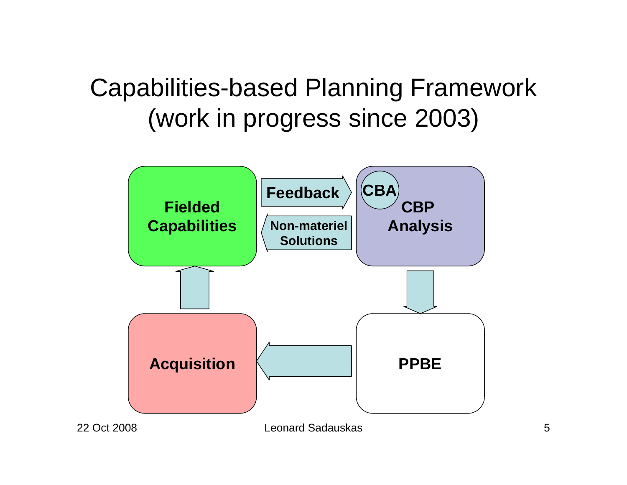Capabilities-based Planning Framework (work in progress since 2003)

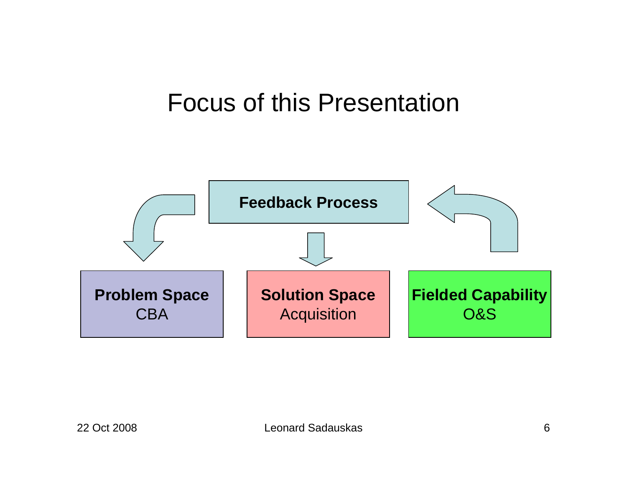#### Focus of this Presentation

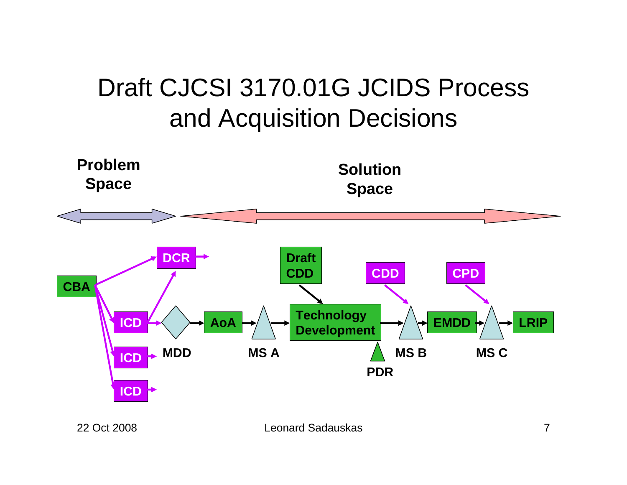## Draft CJCSI 3170.01G JCIDS Process and Acquisition Decisions

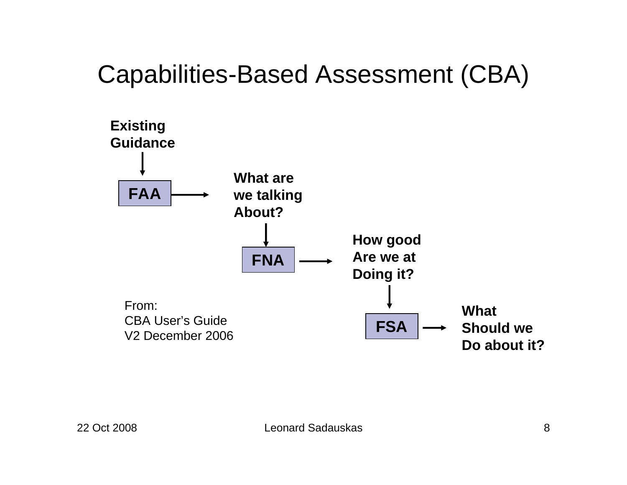### Capabilities-Based Assessment (CBA)

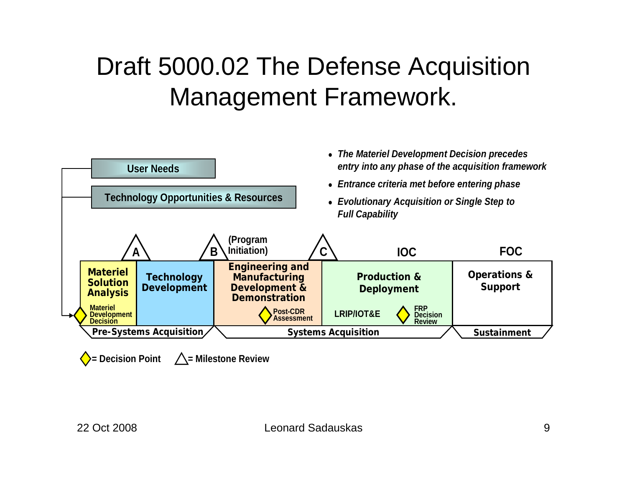## Draft 5000.02 The Defense Acquisition Management Framework.



**Example 2 Section Point / A = Milestone Review**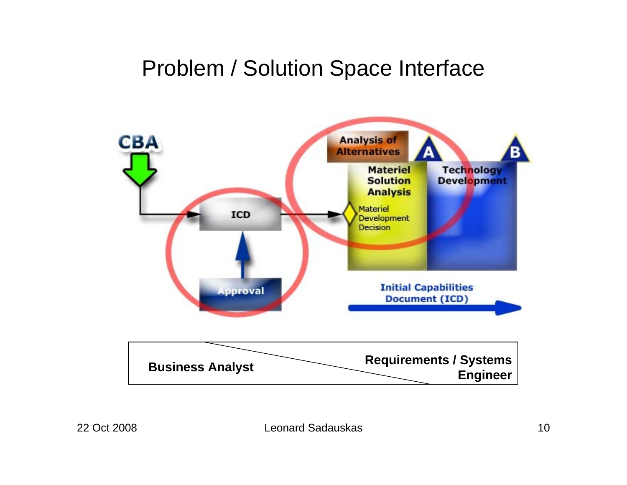#### Problem / Solution Space Interface

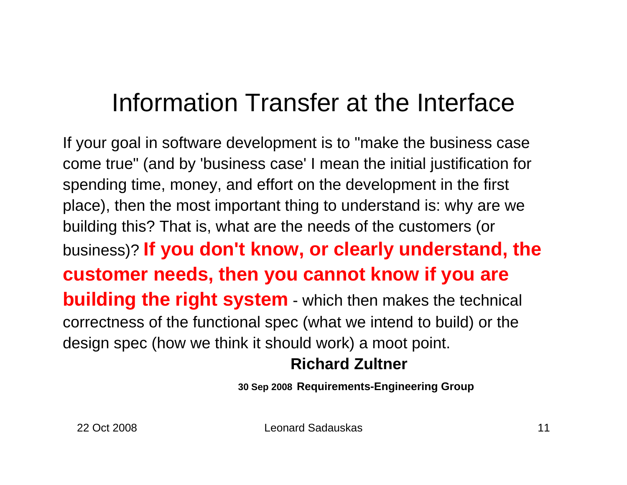### Information Transfer at the Interface

If your goal in software development is to "make the business case come true" (and by 'business case' I mean the initial justification for spending time, money, and effort on the development in the first place), then the most important thing to understand is: why are we building this? That is, what are the needs of the customers (or business)? **If you don't know, or clearly understand, the customer needs, then you cannot know if you are building the right system** - which then makes the technical correctness of the functional spec (what we intend to build) or the design spec (how we think it should work) a moot point.

#### **Richard Zultner**

**30 Sep 2008 Requirements-Engineering Group**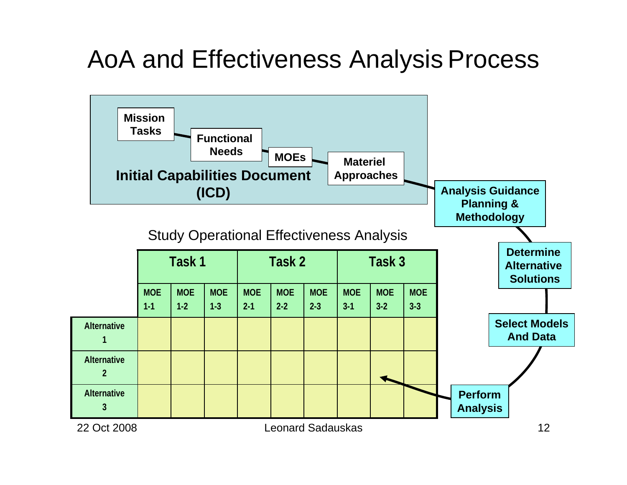#### AoA and Effectiveness Analysis Process

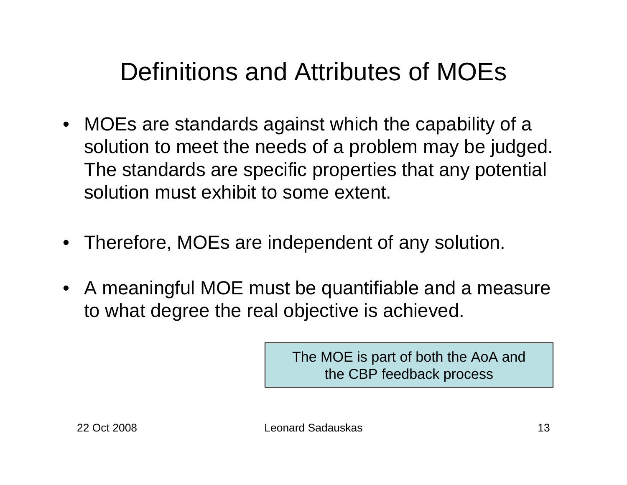## Definitions and Attributes of MOEs

- MOEs are standards against which the capability of a solution to meet the needs of a problem may be judged. The standards are specific properties that any potential solution must exhibit to some extent.
- Therefore, MOEs are independent of any solution.
- A meaningful MOE must be quantifiable and a measure to what degree the real objective is achieved.

The MOE is part of both the AoA and the CBP feedback process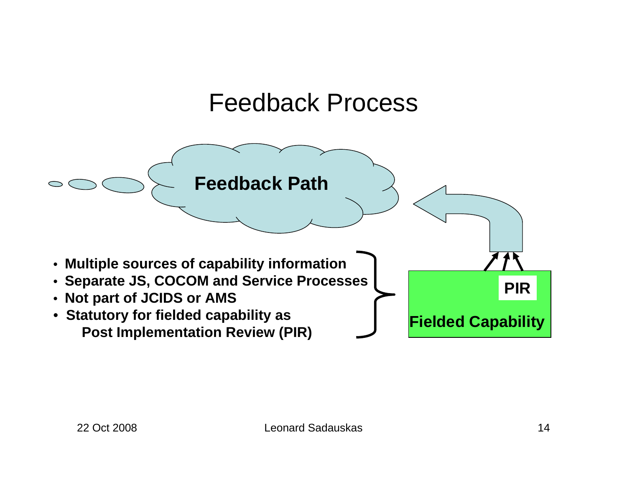#### Feedback Process

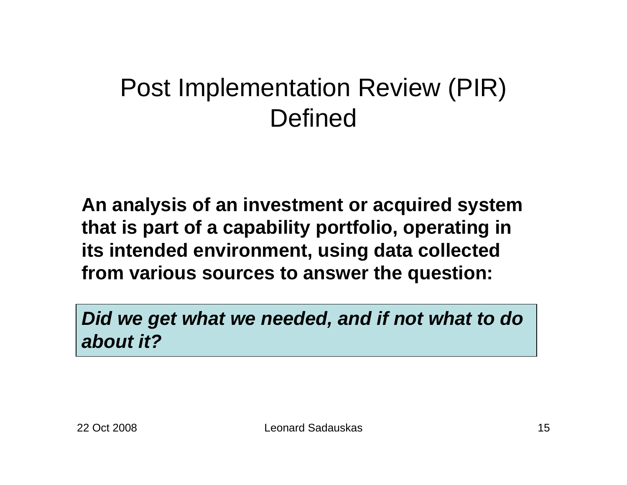## Post Implementation Review (PIR) Defined

**An analysis of an investment or acquired system that is part of a capability portfolio, operating in its intended environment, using data collected from various sources to answer the question:** 

*Did we get what we needed, and if not what to do about it?*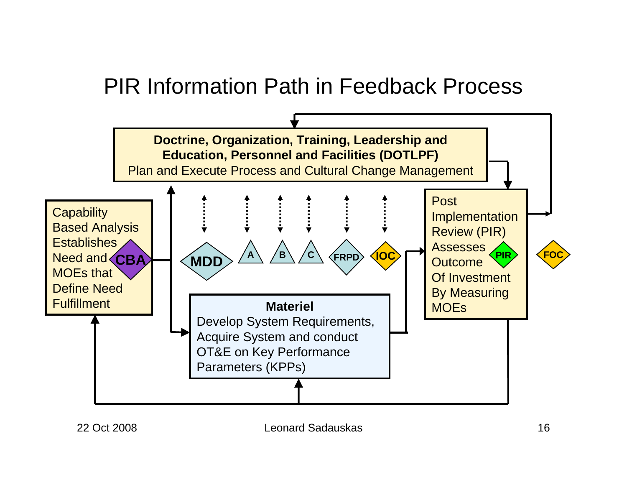#### PIR Information Path in Feedback Process

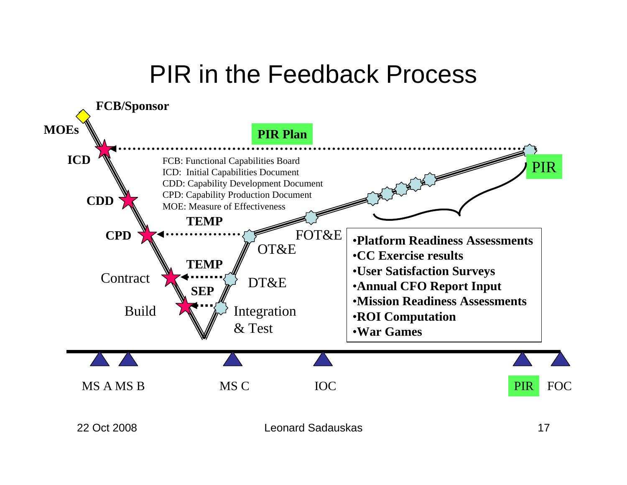#### PIR in the Feedback Process

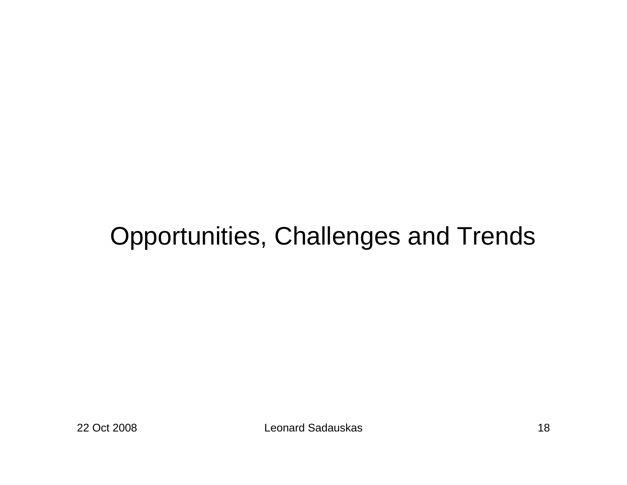## Opportunities, Challenges and Trends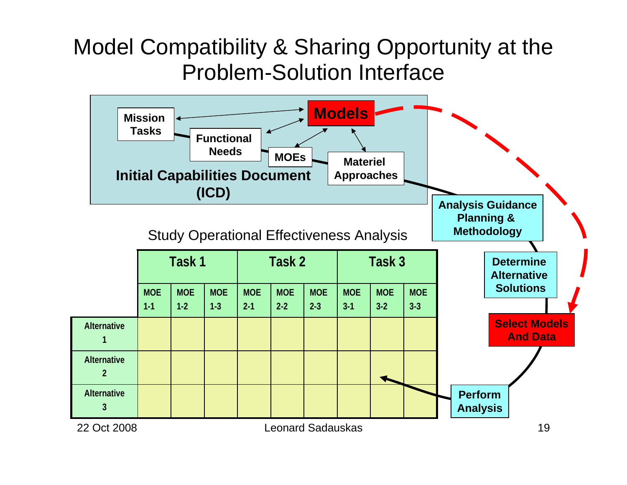#### Model Compatibility & Sharing Opportunity at the Problem-Solution Interface

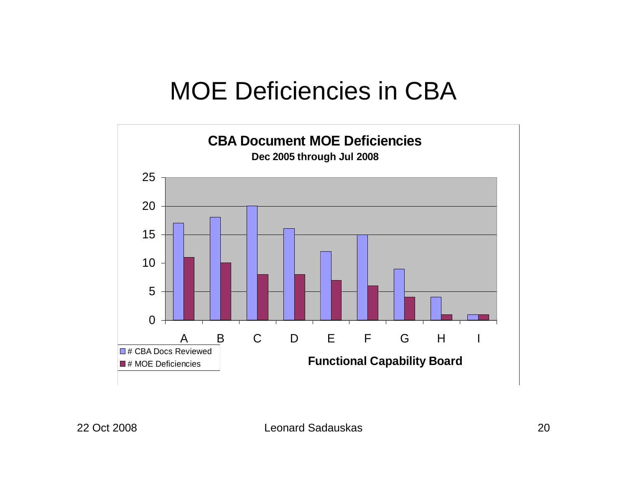#### MOE Deficiencies in CBA

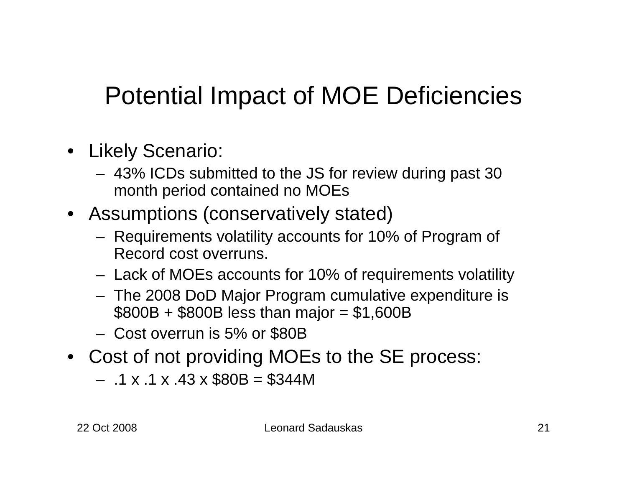## Potential Impact of MOE Deficiencies

- Likely Scenario:
	- – 43% ICDs submitted to the JS for review during past 30 month period contained no MOEs
- Assumptions (conservatively stated)
	- Requirements volatility accounts for 10% of Program of Record cost overruns.
	- Lack of MOEs accounts for 10% of requirements volatility
	- The 2008 DoD Major Program cumulative expenditure is \$800B + \$800B less than major = \$1,600B
	- Cost overrun is 5% or \$80B
- Cost of not providing MOEs to the SE process:
	- .1 x .1 x .43 x \$80B = \$344M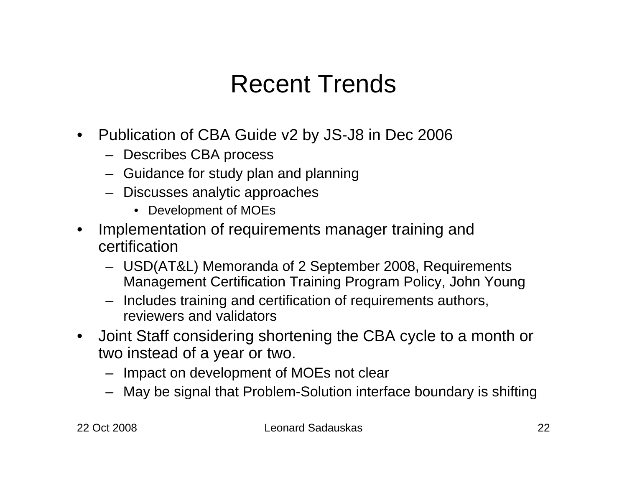## Recent Trends

- Publication of CBA Guide v2 by JS-J8 in Dec 2006
	- Describes CBA process
	- Guidance for study plan and planning
	- Discusses analytic approaches
		- Development of MOEs
- $\bullet$  Implementation of requirements manager training and certification
	- USD(AT&L) Memoranda of 2 September 2008, Requirements Management Certification Training Program Policy, John Young
	- Includes training and certification of requirements authors, reviewers and validators
- $\bullet$  Joint Staff considering shortening the CBA cycle to a month or two instead of a year or two.
	- Impact on development of MOEs not clear
	- May be signal that Problem-Solution interface boundary is shifting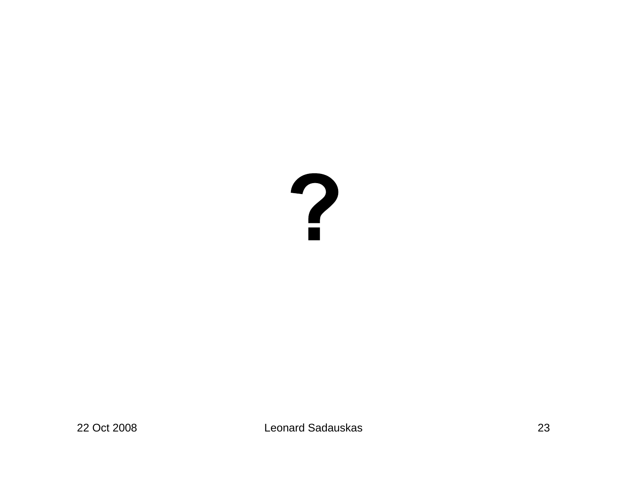# ?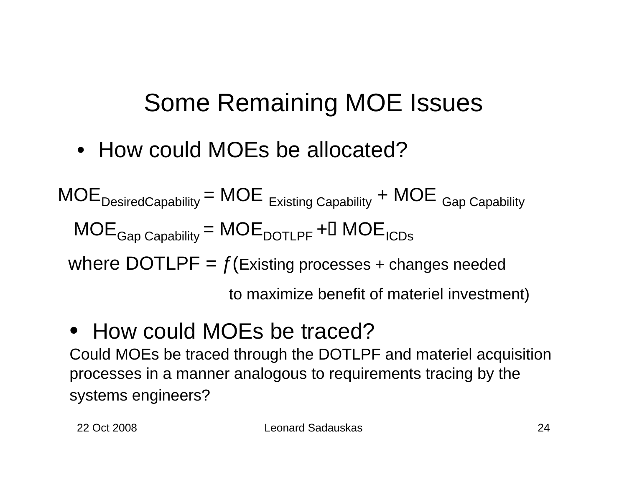## Some Remaining MOE Issues

• How could MOEs be allocated?

 $MOE_{DesiredCapability} = MOE_{Existing Capability} + MOE_{Gap Capability}$  $\mathsf{MOE}_{\mathsf{Gap\, Capability}}$  =  $\mathsf{MOE}_{\mathsf{DOTLPF}}$  + $\Box$   $\mathsf{MOE}_{\mathsf{ICDs}}$ where DOTLPF =  $f$ (Existing processes + changes needed to maximize benefit of materiel investment)

• How could MOEs be traced?

Could MOEs be traced through the DOTLPF and materiel acquisition processes in a manner analogous to requirements tracing by the systems engineers?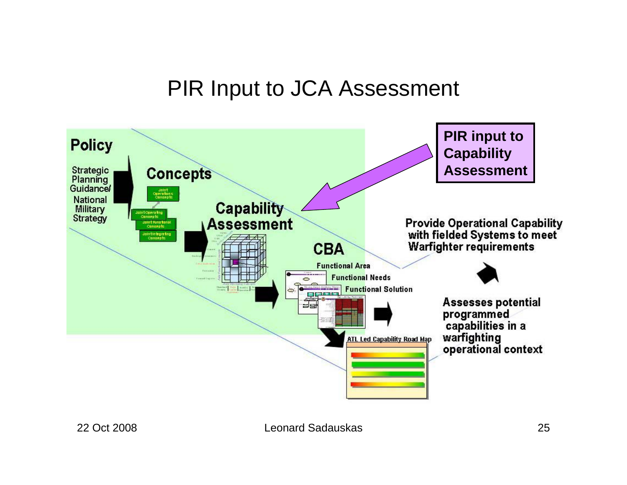#### PIR Input to JCA Assessment

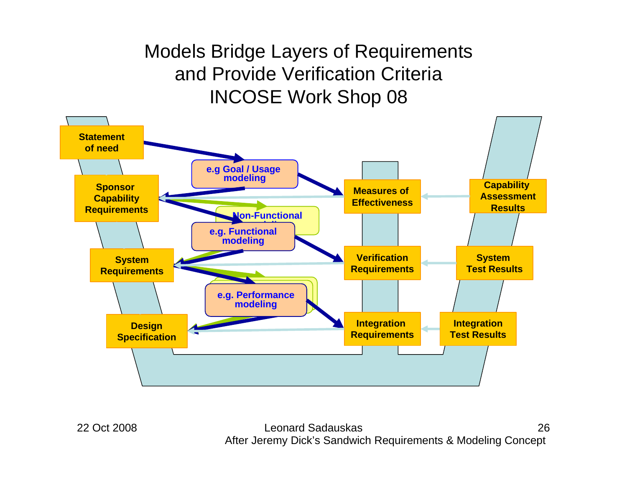Models Bridge Layers of Requirements and Provide Verification CriteriaINCOSE Work Shop 08



22 Oct 2008 Leonard Sadauskas 26After Jeremy Dick's Sandwich Requirements & Modeling Concept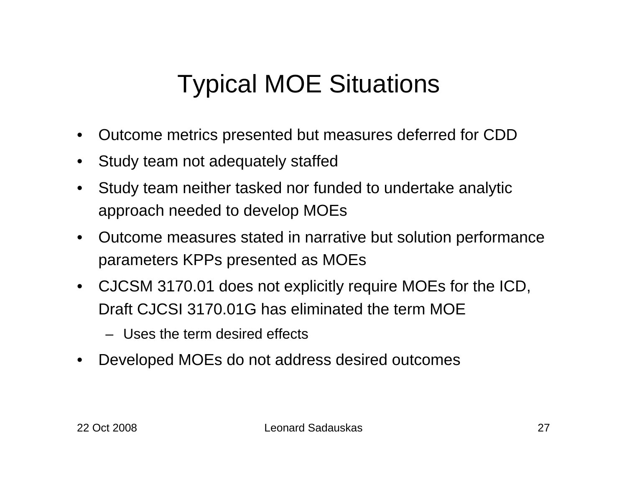## Typical MOE Situations

- $\bullet$ Outcome metrics presented but measures deferred for CDD
- •Study team not adequately staffed
- $\bullet$  Study team neither tasked nor funded to undertake analytic approach needed to develop MOEs
- $\bullet$  Outcome measures stated in narrative but solution performance parameters KPPs presented as MOEs
- $\bullet$  CJCSM 3170.01 does not explicitly require MOEs for the ICD, Draft CJCSI 3170.01G has eliminated the term MOE
	- Uses the term desired effects
- $\bullet$ Developed MOEs do not address desired outcomes